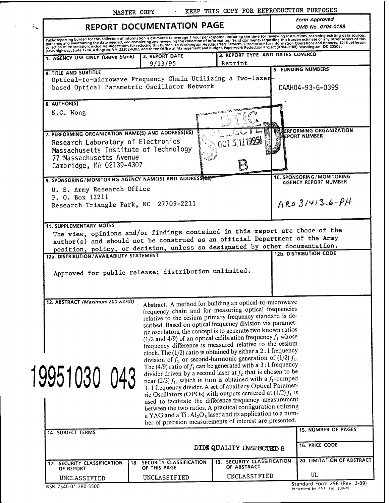|    |                                                                                                                                                                                                                                                                                                                                                                                                                             |                                                                                                                                                                                                                                       | MASTER COPY                                                                                                                                                                                                                                                                                                                                                                                                                                                                                                                                                                                                                                                                                                                                                                                                                                                                                                                                                                                                                                                                                                                                                                                      | KEEP THIS COPY FOR REPRODUCTION PURPOSES    |  |                                                     |
|----|-----------------------------------------------------------------------------------------------------------------------------------------------------------------------------------------------------------------------------------------------------------------------------------------------------------------------------------------------------------------------------------------------------------------------------|---------------------------------------------------------------------------------------------------------------------------------------------------------------------------------------------------------------------------------------|--------------------------------------------------------------------------------------------------------------------------------------------------------------------------------------------------------------------------------------------------------------------------------------------------------------------------------------------------------------------------------------------------------------------------------------------------------------------------------------------------------------------------------------------------------------------------------------------------------------------------------------------------------------------------------------------------------------------------------------------------------------------------------------------------------------------------------------------------------------------------------------------------------------------------------------------------------------------------------------------------------------------------------------------------------------------------------------------------------------------------------------------------------------------------------------------------|---------------------------------------------|--|-----------------------------------------------------|
| ÷. | REPORT DOCUMENTATION PAGE                                                                                                                                                                                                                                                                                                                                                                                                   |                                                                                                                                                                                                                                       | Form Approved<br>OMB No. 0704-0188                                                                                                                                                                                                                                                                                                                                                                                                                                                                                                                                                                                                                                                                                                                                                                                                                                                                                                                                                                                                                                                                                                                                                               |                                             |  |                                                     |
|    | Public reporting burden for this collection of information is estimated to average 1 hour per response, including the time for reviewing instructions, searching existing data sources,<br>Public reporting burden for this conection of information is estimated to average if they require the this legal ding the spanning the burden estimate or any other aspect of this<br>gathering and maintaining the data needed, |                                                                                                                                                                                                                                       |                                                                                                                                                                                                                                                                                                                                                                                                                                                                                                                                                                                                                                                                                                                                                                                                                                                                                                                                                                                                                                                                                                                                                                                                  |                                             |  |                                                     |
|    | 1. AGENCY USE ONLY (Leave blank)                                                                                                                                                                                                                                                                                                                                                                                            |                                                                                                                                                                                                                                       | 2. REPORT DATE<br>9/13/95                                                                                                                                                                                                                                                                                                                                                                                                                                                                                                                                                                                                                                                                                                                                                                                                                                                                                                                                                                                                                                                                                                                                                                        | 3. REPORT TYPE AND DATES COVERED<br>Reprint |  |                                                     |
|    | 4. TITLE AND SUBTITLE<br>Optical-to-microwave Frequency Chain Utilizing a Two-lazer-<br>based Optical Parametric Oscillator Network                                                                                                                                                                                                                                                                                         |                                                                                                                                                                                                                                       | 5. FUNDING NUMBERS<br>DAAH04-93-G-0399                                                                                                                                                                                                                                                                                                                                                                                                                                                                                                                                                                                                                                                                                                                                                                                                                                                                                                                                                                                                                                                                                                                                                           |                                             |  |                                                     |
|    | 6. AUTHOR(S)<br>N.C. Wong                                                                                                                                                                                                                                                                                                                                                                                                   | <u> Alexandria de la Cola de Constitución de la Cola de Cola de Cola de Cola de Cola de Cola de Cola de Cola de C</u><br>Cola de Cola de Cola de Cola de Cola de Cola de Cola de Cola de Cola de Cola de Cola de Cola de Cola de Cola |                                                                                                                                                                                                                                                                                                                                                                                                                                                                                                                                                                                                                                                                                                                                                                                                                                                                                                                                                                                                                                                                                                                                                                                                  |                                             |  |                                                     |
|    | 7. PERFORMING ORGANIZATION NAME(S) AND ADDRESS(ES)<br>Research Laboratory of Electronics<br>Massachusetts Institute of Technology<br>77 Massachusetts Avenue<br>Cambridge, MA 02139-4307                                                                                                                                                                                                                                    |                                                                                                                                                                                                                                       | <b>JERFORMING ORGANIZATION</b><br>i雀PORT NUMBER                                                                                                                                                                                                                                                                                                                                                                                                                                                                                                                                                                                                                                                                                                                                                                                                                                                                                                                                                                                                                                                                                                                                                  |                                             |  |                                                     |
|    | 9. SPONSORING/MONITORING AGENCY NAME(S) AND ADDRESSEST                                                                                                                                                                                                                                                                                                                                                                      |                                                                                                                                                                                                                                       |                                                                                                                                                                                                                                                                                                                                                                                                                                                                                                                                                                                                                                                                                                                                                                                                                                                                                                                                                                                                                                                                                                                                                                                                  |                                             |  | 10. SPONSORING / MONITORING<br>AGENCY REPORT NUMBER |
|    | U. S. Army Research Office<br>P. O. Box 12211<br>Research Triangle Park, NC 27709-2211                                                                                                                                                                                                                                                                                                                                      |                                                                                                                                                                                                                                       | $ARO31413.6-PH$                                                                                                                                                                                                                                                                                                                                                                                                                                                                                                                                                                                                                                                                                                                                                                                                                                                                                                                                                                                                                                                                                                                                                                                  |                                             |  |                                                     |
|    | <b>11. SUPPLEMENTARY NOTES</b><br>The view, opinions and/or findings contained in this report are those of the<br>author(s) and should not be construed as an official Department of the Army<br>position, policy, or decision, unless so designated by other documentation.<br>12a. DISTRIBUTION / AVAILABILITY STATEMENT<br>Approved for public release; distribution unlimited.                                          |                                                                                                                                                                                                                                       | <b>12b. DISTRIBUTION CODE</b>                                                                                                                                                                                                                                                                                                                                                                                                                                                                                                                                                                                                                                                                                                                                                                                                                                                                                                                                                                                                                                                                                                                                                                    |                                             |  |                                                     |
|    | 13. ABSTRACT (Maximum 200 words)                                                                                                                                                                                                                                                                                                                                                                                            |                                                                                                                                                                                                                                       | Abstract. A method for building an optical-to-microwave<br>frequency chain and for measuring optical frequencies<br>relative to the cesium primary frequency standard is de-<br>scribed. Based on optical frequency division via paramet-<br>ric oscillators, the concept is to generate two known ratios<br>(1/2 and 4/9) of an optical calibration frequency $f_1$ whose<br>frequency difference is measured relative to the cesium<br>clock. The $(1/2)$ ratio is obtained by either a 2:1 frequency<br>division of $f_1$ or second-harmonic generation of (1/2) $f_1$ .<br>The (4/9) ratio of $f_1$ can be generated with a 3:1 frequency<br>divider driven by a second laser at $f_2$ that is chosen to be<br>near (2/3) $f_1$ , which in turn is obtained with a $f_1$ -pumped<br>3:1 frequency divider. A set of auxiliary Optical Paramet-<br>ric Oscillators (OPOs) with outputs centered at $(1/2) f_1$ is<br>used to facilitate the difference-frequency measurement<br>between the two ratios. A practical configuration utilizing<br>a YAG and a Ti: Al <sub>2</sub> O <sub>3</sub> laser and its application to a num-<br>ber of precision measurements of interest are presented. |                                             |  |                                                     |
|    | 19951030 043<br>14. SUBJECT TERMS                                                                                                                                                                                                                                                                                                                                                                                           |                                                                                                                                                                                                                                       |                                                                                                                                                                                                                                                                                                                                                                                                                                                                                                                                                                                                                                                                                                                                                                                                                                                                                                                                                                                                                                                                                                                                                                                                  |                                             |  | <b>15. NUMBER OF PAGES</b>                          |
|    | DTIS QUALITY INSPECTED 5                                                                                                                                                                                                                                                                                                                                                                                                    |                                                                                                                                                                                                                                       |                                                                                                                                                                                                                                                                                                                                                                                                                                                                                                                                                                                                                                                                                                                                                                                                                                                                                                                                                                                                                                                                                                                                                                                                  |                                             |  | <b>16. PRICE CODE</b>                               |
|    | 17: SECURITY CLASSIFICATION<br>OF REPORT                                                                                                                                                                                                                                                                                                                                                                                    |                                                                                                                                                                                                                                       | <b>18. SECURITY CLASSIFICATION</b><br>OF THIS PAGE                                                                                                                                                                                                                                                                                                                                                                                                                                                                                                                                                                                                                                                                                                                                                                                                                                                                                                                                                                                                                                                                                                                                               | 19. SECURITY CLASSIFICATION<br>OF ABSTRACT  |  | 20. LIMITATION OF ABSTRACT                          |
|    | UNCLASSIFIED                                                                                                                                                                                                                                                                                                                                                                                                                |                                                                                                                                                                                                                                       | UNCLASSIFIED                                                                                                                                                                                                                                                                                                                                                                                                                                                                                                                                                                                                                                                                                                                                                                                                                                                                                                                                                                                                                                                                                                                                                                                     | UNCLASSIFIED                                |  | UL<br>Standard Form 298 (Rev. 2-89)                 |

NSN 7540-01-280-5500

 $\frac{1}{\sqrt{2}}$ 

Proscribed bv ANSI Std Z39-I8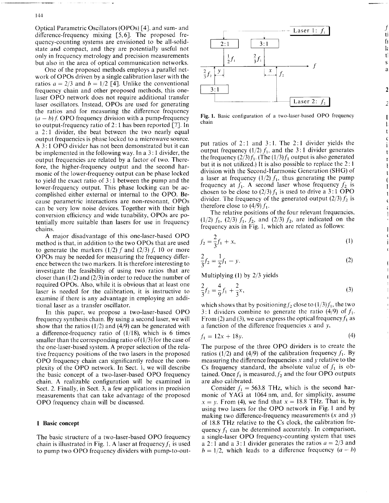Optical Parametric Oscillators (OPOs) [4], and sum- and difference-frequency mixing [5,6]. The proposed frequency-counting systems are envisioned to be all-solidstate and compact, and they are potentially useful not only in frequency metrology and precision measurements but also in the area of optical communication networks.

One of the proposed methods employs a parallel network of OPOs driven by a single calibration laser with the ratios  $a = 2/3$  and  $b = 1/2$  [4]. Unlike the conventional frequency chain and other proposed methods, this onelaser OPO network does not require additional transfer laser oscillators. Instead, OPOs are used for generating the ratios and for measuring the difference frequency  $(a - b)$  *f*. OPO frequency division with a pump-frequency to output-frequency ratio of 2:1 has been reported [7]. In a 2:1 divider, the beat between the two nearly equal output frequencies is phase locked to a microwave source. A 3:1 OPO divider has not been demonstrated but it can be implemented in the following way. In a 3:1 divider, the output frequencies are related by a factor of two. Therefore, the higher-frequency output and the second harmonic of the lower-frequency output can be phase locked to yield the exact ratio of 3:1 between the pump and the lower-frequency output. This phase locking can be accomplished either external or internal to the OPO. Because parametric interactions are non-resonant, OPOs can be very low noise devices. Together with their high conversion efficiency and wide tunability, OPOs are potentially more suitable than lasers for use in frequency chains.

A major disadvantage of this one-laser-based OPO method is that, in addition to the two OPOs that are used to generate the markers  $(1/2)$  f and  $(2/3)$  f, 10 or more OPOs may be needed for measuring the frequency difference between the two markers. It is therefore interesting to investigate the feasibility of using two ratios that are closer than  $(1/2)$  and  $(2/3)$  in order to reduce the number of required OPOs. Also, while it is obvious that at least one laser is needed for the calibration, it is instructive to examine if there is any advantage in employing an additional laser as a transfer oscillator.

In this paper, we propose a two-laser-based OPO frequency synthesis chain. By using a second laser, we will show that the ratios  $(1/2)$  and  $(4/9)$  can be generated with a difference-frequency ratio of  $(1/18)$ , which is 6 times smaller than the corresponding ratio of  $(1/3)$  for the case of the one-laser-based system. A proper selection of the relative frequency positions of the two lasers in the proposed OPO frequency chain can significantly reduce the complexity of the OPO network. In Sect. 1, we will describe the basic concept of a two-laser-based OPO frequency chain. A realizable configuration will be examined in Sect. 2. Finally, in Sect. 3, a few applications in precision measurements that can take advantage of the proposed OPO frequency chain will be discussed.

## **I Basic concept**

The basic structure of a two-laser-based OPO frequency chain is illustrated in Fig. 1. A laser at frequency  $f_1$  is used to pump two OPO frequency dividers with pump-to-out-



ti fı  $\mathbf{1}$  $t$ Š a

> $\mathbf{1}$  $\mathbf{t}$ Ć

> > $\mathbf{t}$

 $\mathbf{t}$ 

Fig. 1. Basic configuration of a two-laser-based OPO frequency chain

put ratios of 2:1 and 3:1. The 2:1 divider yields the output frequency  $(1/2) f_1$ , and the 3:1 divider generates the frequency  $(2/3) f_1$ . (The  $(1/3) f_1$  output is also generated but it is not utilized.) It is also possible to replace the 2:1 division with the Second-Harmonic Generation (SHG) of a laser at frequency (1/2)  $f_1$ , thus generating the pump frequency at  $f_1$ . A second laser whose frequency  $f_2$  is chosen to be close to  $(2/3) f_1$  is used to drive a 3:1 OPO divider. The frequency of the generated output  $(2/3) f_2$  is therefore close to  $(4/9) f_1$ .

The relative positions of the four relevant frequencies, (1/2)  $f_1$ , (2/3)  $f_1$ ,  $f_2$ , and (2/3)  $f_2$ , are indicated on the frequency axis in Fig. 1, which are related as follows:

$$
f_2 = \frac{2}{3}f_1 + x,\tag{1}
$$

$$
\frac{2}{3}f_2 = \frac{1}{2}f_1 - y.\tag{2}
$$

Multiplying (1) by 2/3 yields

$$
\frac{2}{3}f_2 = \frac{4}{9}f_1 + \frac{2}{3}x,\tag{3}
$$

which shows that by positioning  $f_2$  close to  $(1/3)f_1$ , the two 3:1 dividers combine to generate the ratio (4/9) of  $f_1$ . From (2) and (3), we can express the optical frequency  $f_1$  as a function of the difference frequencies x and *y,*

$$
f_1 = 12x + 18y.\t\t(4)
$$

The purpose of the three OPO dividers is to create the ratios (1/2) and (4/9) of the calibration frequency  $f_1$ . By measuring the difference frequencies x and *y* relative to the Cs frequency standard, the absolute value of  $f_1$  is obtained. Once  $f_1$  is measured,  $f_2$  and the four OPO outputs are also calibrated.

Consider  $f_1 = 563.8$  THz, which is the second harmonic of YAG at 1064 nm, and, for simplicity, assume  $x = y$ . From (4), we find that  $x = 18.8$  THz. That is, by using two lasers for the OPO network in Fig. <sup>1</sup> and by making two difference-frequency measurements (x and *y)* of 18.8 THz relative to the Cs clock, the calibration frequency  $f_1$  can be determined accurately. In comparison, a single-laser OPO frequency-counting system that uses a 2:1 and a 3:1 divider generates the ratios  $a = 2/3$  and  $b = 1/2$ , which leads to a difference frequency  $(a - b)$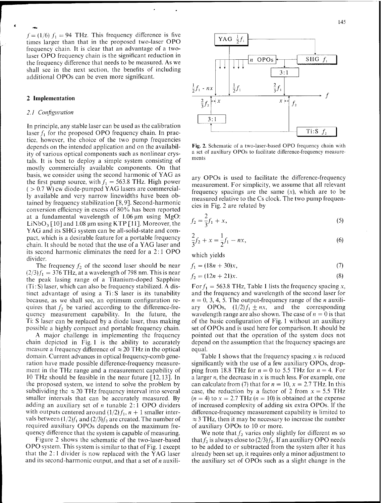$f=(1/6) f_1 = 94$  THz. This frequency difference is five times larger than that in the proposed two-laser OPO frequency chain. It is clear that an advantage of a twolaser OPO frequency chain is the significant reduction in the frequency difference that needs to be measured. As we shall see in the next section, the benefits of including additional OPOs can be even more significant.

# **2 Implementation**

#### *2.1 Configuration*

In principle, any stable laser can be used as the calibration laser  $f_1$  for the proposed OPO frequency chain. In practice, however, the choice of the two pump frequencies depends on the intended application and on the availability of various optical components such as nonlinear crystals. It is best to deploy a simple system consisting of mostly commercially available components. On that basis, we consider using the second harmonic of YAG as the first pump source, with  $f_1 = 563.8$  THz. High power  $( > 0.7 \text{ W})$  cw diode-pumped YAG lasers are commercially available and very narrow linewidths have been obtained by frequency stabilization [8,9]. Second-harmonic conversion efficiency in excess of 80% has been reported at a fundamental wavelength of  $1.06 \mu m$  using MgO: LiNbO<sub>3</sub> [10] and 1.08 µm using KTP [11]. Moreover, the YAG and its SHG system can be all-solid-state and compact, which is a desirable feature for a portable frequency chain. It should be noted that the use of a YAG laser and its second harmonic eliminates the need for a 2:1 OPO divider.

The frequency  $f_2$  of the second laser should be near  $(2/3) f_1 = 376$  THz, at a wavelength of 798 nm. This is near the peak lasing range of a Titanium-doped Sapphire (Ti: S) laser, which can also be frequency stabilized. A distinct advantage of using a Ti:S laser is its tunability because, as we shall see, an optimum configuration requires that  $f_2$  be varied according to the difference-frequency measurement capability. In the future, the Ti: S laser can be replaced by a diode laser, thus making possible a highly compact and portable frequency chain.

A major challenge in implementing the frequency chain depicted in Fig. <sup>1</sup> is the ability to accurately measure a frequency difference of  $\approx$  20 THz in the optical domain. Current advances in optical frequency-comb generation have made possible difference-frequency measurement in the THz range and a measurement capability of 10 THz should be feasible in the near future [12,13]. In the proposed system, we intend to solve the problem by subdividing the  $\approx 20$  THz frequency interval into several smaller intervals that can be accurately measured. By adding an auxiliary set of *n* tunable 2:1 OPO dividers with outputs centered around  $(1/2) f_1$ ,  $n + 1$  smaller intervals between  $(1/2)f_1$  and  $(2/3)f_2$  are created. The number of required auxiliary OPOs depends on the maximum frequency difference that the system is capable of measuring.

Figure 2 shows the schematic of the two-laser-based OPO system. This system is similar to that of Fig. <sup>1</sup> except that the  $2:1$  divider is now replaced with the YAG laser and its second-harmonic output, and that a set of *n* auxili-



Fig. 2. Schematic of a two-laser-based OPO frequency chain with a set of auxiliary OPOs to facilitate difference-frequency measurements

ary OPOs is used to facilitate the difference-frequency measurement. For simplicity, we assume that all relevant frequency spacings are the same  $(x)$ , which are to be measured relative to the Cs clock. The two pump frequencies in Fig. 2 are related by

$$
f_2 = \frac{2}{3}f_1 + x,\tag{5}
$$

$$
\frac{2}{3}f_2 + x = \frac{1}{2}f_1 - nx,\tag{6}
$$

which yields

which yields  

$$
f_1 = (18n + 30)x,
$$
 (7)

$$
f_2 = (12n + 21)x.
$$
 (8)

For  $f_1 = 563.8$  THz, Table 1 lists the frequency spacing x, and the frequency and wavelength of the second laser for  $n = 0, 3, 4, 5$ . The output-frequency range of the *n* auxiliary OPOs,  $(1/2)f_1 \pm nx$ , and the corresponding wavelength range are also shown. The case of  $n = 0$  is that of the basic configuration of Fig. <sup>1</sup> without an auxiliary set of OPOs and is used here for comparison. It should be pointed out that the operation of the system does not depend on the assumption that the frequency spacings are equal.

Table 1 shows that the frequency spacing  $x$  is reduced significantly with the use of a few auxiliary OPOs, dropping from 18.8 THz for  $n = 0$  to 5.5 THz for  $n = 4$ . For a larger *n,* the decrease in x is much less. For example, one can calculate from (7) that for  $n = 10$ ,  $x = 2.7$  THz. In this case, the reduction by a factor of 2 from  $x = 5.5$  THz  $(n = 4)$  to  $x = 2.7$  THz  $(n = 10)$  is obtained at the expense of increased complexity of adding six extra OPOs. If the difference-frequency measurement capability is limited to  $\approx$  3 THz, then it may be necessary to increase the number of auxiliary OPOs to 10 or more.

We note that  $f_2$  varies only slightly for different *n*s so that  $f_2$  is always close to  $(2/3)f_1$ . If an auxiliary OPO needs to be added to or subtracted from the system after it has already been set up, it requires only a minor adjustment to the auxiliary set of OPOs such as a slight change in the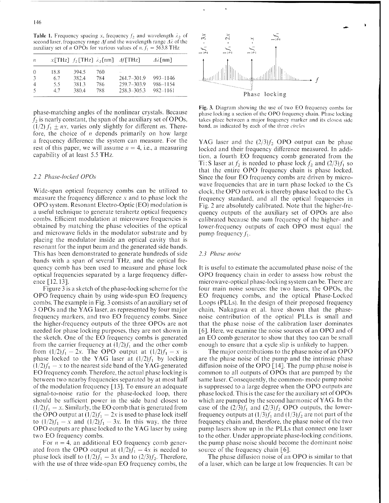**Table 1.** Frequency spacing x, frequency  $f_2$  and wavelength  $\lambda_2$  of second laser, frequency range  $\Delta f$  and the wavelength range  $\Delta \lambda$  of the auxiliary set of *n* OPOs for various values of *n.*  $f_1 = 563.8$  THz

| $\overline{B}$ |      |       |     | $x[THz]$ f <sub>2</sub> [THz] $\lambda$ <sub>2</sub> [nm] $\Delta$ [THz] | $\Delta\lambda$ [nm] |
|----------------|------|-------|-----|--------------------------------------------------------------------------|----------------------|
| $\Omega$       | 18.8 | 394.5 | 760 | $\sim$                                                                   |                      |
|                | 67   | 382.4 | 784 | 261.7-301.9                                                              | 993-1146             |
|                | 5.5  | 381.3 | 786 | 259.7-303.9                                                              | 986-1154             |
|                | 47   | 380.4 | 788 | 258.3-305.3                                                              | 982-1161             |

phase-matching angles of the nonlinear crystals. Because  $f<sub>2</sub>$  is nearly constant, the span of the auxiliary set of OPOs,  $(1/2) f_1 \pm nx$ , varies only slightly for different *ms*. Therefore, the choice of *n* depends primarily on how large a frequency difference the system can measure. For the rest of this paper, we will assume  $n = 4$ , i.e., a measuring capability of at least 5.5 THz.

# *2.2 Phase-locked OPOs*

Wide-span optical frequency combs can be utilized to measure the frequency difference *x* and to phase lock the OPO system. Resonant Electro-Optic (EO) modulation is a useful technique to generate terahertz optical frequency combs. Efficient modulation at microwave frequencies is obtained by matching the phase velocities of the optical and microwave fields in the modulator substrate and by placing the modulator inside an optical cavity that is resonant for the input beam and the generated side bands. This has been demonstrated to generate hundreds of side bands with a span of several THz, and the optical frequency comb has been used to measure and phase lock optical frequencies separated by a large frequency difference [12,13].

Figure <sup>3</sup> is a sketch of the phase-locking scheme for the OPO frequency chain by using wide-span EO frequency combs. The example in Fig. <sup>3</sup> consists of an auxiliary set of <sup>3</sup> OPOs and the YAG laser, as represented by four major frequency markers, and two EO frequency combs. Since the higher-frequency outputs of the three OPOs are not needed for phase locking purposes, they are not shown in the sketch. One of the EO frequency combs is generated from the carrier frequency at  $(1/2)f_1$  and the other comb from  $(1/2)f_1 - 2x$ . The OPO output at  $(1/2)f_1 - x$  is phase locked to the YAG laser at  $(1/2)f_1$  by locking  $(1/2)f_1 - x$  to the nearest side band of the YAG-generated EO frequency comb. Therefore, the actual phase locking is between two nearby frequencies separated by at most half of the modulation frequency [13]. To ensure an adequate signal-to-noise ratio for the phase-locked loop, there should be sufficient power in the side band closest to  $(1/2)f_1 - x$ . Similarly, the EO comb that is generated from the OPO output at  $\left(\frac{1}{2}\right)f_1 - 2x$  is used to phase lock itself to  $(1/2)f_1 - x$  and  $(1/2)f_1 - 3x$ . In this way, the three OPO outputs are phase locked to the YAG laser by using two EO frequency combs.

For  $n = 4$ , an additional EO frequency comb generated from the OPO output at  $(1/2)f_1 - 4x$  is needed to phase lock itself to  $(1/2)f_1 - 3x$  and to  $(2/3)f_2$ . Therefore, with the use of three wide-span EO frequency combs, the



**Fig.** 3. Diagram showing the use of two EO frequency combs for phase locking a section of the OPO frequency chain. Phase locking takes place between a major frequency marker and its closest side band, as indicated by each of the three *circles*

YAG laser and the  $(2/3) f_2$  OPO output can be phase locked and their frequency difference measured. In addition, a fourth EO frequency comb generated from the Ti: S laser at  $f_2$  is needed to phase lock  $f_2$  and  $(2/3)f_1$  so that the entire OPO frequency chain is phase locked. Since the four EO frequency combs are driven by microwave frequencies that are in turn phase locked to the Cs clock, the OPO network is thereby phase locked to the Cs frequency standard, and all the optical frequencies in Fig. 2 are absolutely calibrated. Note that the higher-frequency outputs of the auxiliary set of OPOs are also calibrated because the sum frequency of the higher- and lower-frequency outputs of each OPO must equal the pump frequency  $f_1$ .

## *2.3 Phase noise*

It is useful to estimate the accumulated phase noise of the OPO frequency chain in order to assess how robust the microwave-optical phase-locking system can be. There are four main noise sources: the two lasers, the OPOs, the EO frequency combs, and the optical Phase-Locked Loops (PLLs). In the design of their proposed frequency chain, Nakagawa et al. have shown that the phasenoise contribution of the optical PLLs is small and that the phase noise of the calibration laser dominates [6]. Here, we examine the noise sources of an OPO and of an EO comb generator to show that they too can be small enough to ensure that a cycle slip is unlikely to happen.

The major contributions to the phase noise of an OPO are the phase noise of the pump and the intrinsic phase diffusion noise of the OPO [14]. The pump phase noise is common to all outputs of OPOs that are pumped by the same laser. Consequently, the common- mode pump noise is suppressed to a large degree when the OPO outputs are phase locked. This is the case for the auxiliary set of OPOs which are pumped by the second harmonic of YAG. In the case of the  $\left(\frac{2}{3}\right)f_1$  and  $\left(\frac{2}{3}\right)f_2$  OPO outputs, the lowerfrequency outputs at  $(1/3)f_1$  and  $(1/3)f_2$  are not part of the frequency chain and, therefore, the phase noise of the two pump lasers show up in the PLLs that connect one laser to the other. Under appropriate phase-locking conditions, the pump phase noise should become the dominant noise source of the frequency chain [6].

The phase diffusion noise of an OPO is similar to that of a laser, which can be large at low frequencies. It can be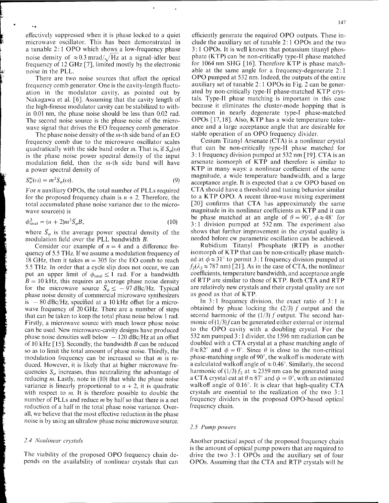effectively suppressed when it is phase locked to a quiet microwave oscillator. This has been demonstrated in a tunable 2:1 OPO which shows a low-frequency phase noise density of  $\approx 0.3$  mrad/ $\sqrt{Hz}$  at a signal-idler beat frequency of 12 GHz [7], limited mostly by the electronic noise in the PLL.

There are two noise sources that affect the optical frequency comb generator. One is the cavity-length fluctuation in the modulator cavity, as pointed out by Nakagawa et al. [6]. Assuming that the cavity length of the high-finesse modulator cavity can be stabilized to within 0.01 nm, the phase noise should be less than 0.02 rad. The second noise source is the phase noise of the microwave signal that drives the EO frequency comb generator.

The phase noise density of the  $m$ -th side band of an EO frequency comb due to the microwave oscillator scales quadratically with the side band order *m*. That is, if  $S_{\varphi}(\omega)$ is the phase noise power spectral density of the input modulation field, then the m-th side band will have a power spectral density of

$$
S^m_\varphi(\omega) = m^2 S_\varphi(\omega). \tag{9}
$$

For *n* auxiliary OPOs, the total number of PLLs required for the proposed frequency chain is  $n + 2$ . Therefore, the total accumulated phase noise variance due to the microwave source(s) is

$$
\phi_{\text{total}}^2 = (n+2)m^2 \bar{S}_{\varphi} B,\tag{10}
$$

where  $\bar{S}_{\varphi}$  is the average power spectral density of the modulation field over the PLL bandwidth *B.*

Consider our example of  $n = 4$  and a difference frequency of 5.5 THz. If we assume a modulation frequency of 18 GHz, then it takes  $m = 305$  for the EO comb to reach 5.5 THz. In order that a cycle slip does not occur, we can put an upper limit of  $\phi_{\text{total}} \leq 1$  rad. For a bandwidth  $B = 10$  kHz, this requires an average phase noise density for the microwave source  $\bar{S}_{\varphi} \le -97 \text{ dBc/Hz}$ . Typical phase noise density of commercial microwave synthesizers is  $-80$  dBc/Hz, specified at a 10 kHz offset for a microwave frequency of 20 GHz. There are a number of steps that can be taken to keep the total phase noise below <sup>1</sup> rad. Firstly, a microwave source with much lower phase noise can be used. New microwave-cavity designs have produced phase noise densities well below  $-120$  dBc/Hz at an offset of 10 kHz [15]. Secondly, the bandwidth *B* can be reduced so as to limit the total amount of phase noise. Thirdly, the modulation frequency can be increased so that m is reduced. However, it is likely that at higher microwave frequencies  $S_{\varphi}$  increases, thus neutralizing the advantage of reducing *m*. Lastly, note in (10) that while the phase noise variance is linearly proportional to  $n + 2$ , it is quadratic with respect to m. It is therefore possible to double the number of PLLs and reduce *m* by half so that there is a net reduction of a half in the total phase noise variance. Overall, we believe that the most effective reduction in the phase noise is by using an ultralow phase noise microwave source.

#### *2.4 Nonlinear ciystals*

The viability of the proposed OPO frequency chain depends on the availability of nonlinear crystals that can

efficiently generate the required OPO outputs. These include the auxiliary set of tunable 2:1 OPOs and the two 3:1 OPOs. It is well known that potassium titanyl phosphate (KTP) can be non-critically type-II phase matched for 1064 nm SHG [16]. Therefore KTP is phase matchable at the same angle for a frequency-degenerate 2:1 OPO pumped at 532 nm. Indeed, the outputs of the entire auxiliary set of tunable 2:1 OPOs in Fig. 2 can be generated by non-critically type-II phase-matched KTP crystals. Type-II phase matching is important in this case because it eliminates the cluster-mode hopping that is common in nearly degenerate type-I phase-matched OPOs [17,18]. Also, KTP has a wide temperature tolerance and a large acceptance angle that are desirable for stable operation of an OPO frequency divider.

Cesium Titanyl Arsenate (CTA) is a nonlinear crystal that can be non-critically type-II phase matched for 3:1 frequency division pumped at 532 nm [19]. CTA is an arsenate isomorph of KTP and therefore is similar to KTP in many ways: a nonlinear coefficient of the same magnitude, a wide temperature bandwidth, and a large acceptance angle. It is expected that a cw OPO based on CTA should have a threshold and tuning behavior similar to a KTP OPO. A recent three-wave mixing experiment [20] confirms that CTA has approximately the same magnitude in its nonlinear coefficients as KTP and it can be phase matched at an angle of  $\theta = 90^\circ$ ,  $\phi \approx 48^\circ$  for 3:1 division pumped at 532 nm. The experiment also shows that further improvement in the crystal quality is needed before cw parametric oscillation can be achieved.

Rubidium Titanyl Phosphate (RTP) is another isomorph of KTP that can be non-critically phase matched at  $\phi \approx 31^\circ$  to permit 3:1 frequency division pumped at  $f_2(\lambda_2 \approx 787 \text{ nm})$  [21]. As in the case of CTA, the nonlinear coefficients, temperature bandwidth, and acceptance angle of RTP are similar to those of KTP. Both CTA and RTP are relatively new crystals and their crystal quality are not as good as that of KTP.

In 3:1 frequency division, the exact ratio of 3:1 is obtained by phase locking the  $(2/3)$  f output and the second harmonic of the  $(1/3)$  f output. The second harmonic of  $(1/3)$  f can be generated either external or internal to the OPO cavity with a doubling crystal. For the 532 nm pumped 3:1 divider, the 1596 nm radiation can be doubled with a CTA crystal at a phase matching angle of  $\theta \approx 82^{\circ}$  and  $\phi = 0^{\circ}$ . Since  $\theta$  is close to the non-critical phase-matching angle of 90°, the walkoff is moderate with a calculated walkoff angle of  $\approx$  0.46°. Similarly, the second harmonic of  $(1/3) f_2$  at  $\approx 2359$  nm can be generated using a CTA crystal cut at  $0 \approx 87^\circ$  and  $\phi = 0^\circ$ , with an estimated walkoff angle of 0.16°. It is clear that high-quality CTA crystals are essential to the realization of the two 3:1 frequency dividers in the proposed OPO-based optical frequency chain.

## *2.5 Pump powers*

Another practical aspect of the proposed frequency chain is the amount of optical pump powers that are required to drive the two 3:1 OPOs and the auxiliary set of four OPOs. Assuming that the CTA and RTP crystals will be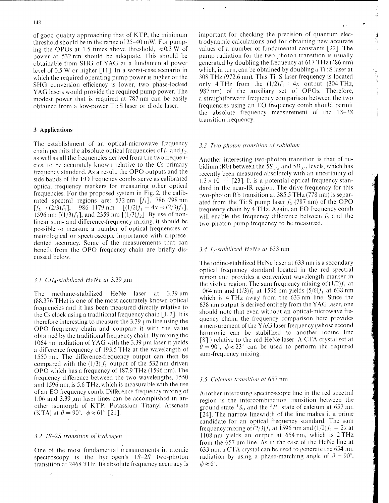of good quality approaching that of KTP, the minimum threshold should be in the range of 25-40 mW. For pumping the OPOs at 1.5 times above threshold,  $\approx 0.3$  W of power at 532 nm should be adequate. This should be obtainable from SHG of YAG at a fundamental power level of 0.5 W or higher [11]. In a worst-case scenario in which the required operating pump power is higher or the SHG conversion efficiency is lower, two phase-locked YAG lasers would provide the required pump power. The modest power that is required at 787 nm can be easily obtained from a low-power Ti: S laser or diode laser.

# **3 Applications**

The establishment of an optical-microwave frequency chain permits the absolute optical frequencies of  $f_1$  and  $f_2$ , as well as all the frequencies derived from the two frequencies, to be accurately known relative to the Cs primary frequency standard. As a result, the OPO outputs and the side bands of the EO frequency combs serve as calibrated optical frequency markers for measuring other optical frequencies. For the proposed system in Fig. 2, the calibrated spectral regions are: 532 nm  $[f_1]$ , 786 798 nm  $[f_2 \rightarrow (2/3)f_1]$ , 986-1179 nm  $[(1/2)f_1 + 4x \rightarrow (2/3)f_2]$ , 1596 nm  $[(1/3)f_1]$ , and 2359 nm  $[(1/3)f_2]$ . By use of nonlinear sum- and difference-frequency mixing, it should be possible to measure a number of optical frequencies of metrological or spectroscopic importance with unprecedented accuracy. Some of the measurements that can benefit from the OPO frequency chain are briefly discussed below.

# *3.1 CH4-stabiIized HeNe at* 3.39 um

The methane-stabilized HeNe laser at 3.39  $\mu$ m (88.376 THz) is one of the most accurately known optical frequencies and it has been measured directly relative to the Cs clock using a traditional frequency chain [1,2]. It is therefore interesting to measure the  $3.39 \mu m$  line using the OPO frequency chain and compare it with the value obtained by the traditional frequency chain. By mixing the 1064 nm radiation of YAG with the 3.39 µm laser it yields a difference frequency of 193.5 THz at the wavelength of 1550 nm. The difference-frequency output can then be compared with the  $(1/3) f_1$  output of the 532 nm driven OPO which has a frequency of 187.9 THz (1596 nm). The frequency difference between the two wavelengths, 1550 and 1596 nm, is 5.6 THz, which is measurable with the use of an EO frequency comb. Difference-frequency mixing of 1.06 and 3.39 um laser lines can be accomplished in another isomorph of KTP: Potassium Titanyl Arsenate (KTA) at  $\theta = 90^\circ$ ,  $\phi \approx 61^\circ$  [21].

## *3.2 1S-2S transition of hydrogen*

One of the most fundamental measurements in atomic spectroscopy is the hydrogen's IS-25 two-photon transition at 2468 THz. Its absolute frequency accuracy is important for checking the precision of quantum electrodynamic calculations and for obtaining new accurate values of a number of fundamental constants [22]. The pump radiation for the two-photon transition is usually generated by doubling the frequency at 617 THz (486 nm) which, in turn, can be obtained by doubling a Ti: S laser at 308 THz (972.6 nm). This Ti:S laser frequency is located only 4 THz from the  $(1/2)f_1 + 4x$  output (304 THz, 987 nm) of the auxiliary set of OPOs. Therefore, a straightforward frequency comparison between the two frequencies using an EO frequency comb should permit the absolute frequency measurement of the 15-25 transition frequency.

# 3.3 Two-photon *transition* of *rubidium*

Another interesting two-photon transition is that of rubidium (Rb) between the  $5S_{1/2}$  and  $5D_{3/2}$  levels, which has recently been measured absolutely with an uncertainty of  $1.3 \times 10^{-11}$  [23]. It is a potential optical frequency standard in the near-IR region. The drive frequency for this two-photon Rb transition at 385.5 THz (778 nm) is separated from the Ti:S pump laser  $f_2$  (787 nm) of the OPO frequency chain by 4 THz. Again, an EO frequency comb will enable the frequency difference between *f<sup>2</sup>* and the two-photon pump frequency to be measured.

# *3.4 h-stabilized HeNe at* 633 nm

The iodine-stabilized HeNe laser at 633 nm is a secondary optical frequency standard located in the red spectral region and provides a convenient wavelength marker in the visible region. The sum frequency mixing of  $(1/2)f_1$  at 1064 nm and  $(1/3)f_1$  at 1596 nm yields  $(5/6)f_1$  at 638 nm which is 4 THz away from the 633 nm line. Since the 638 nm output is derived entirely from the YAG laser, one should note that even without an optical-microwave frequency chain, the frequency comparison here provides a measurement of the YAG laser frequency (whose second harmonic can be stabilized to another iodine line [8] ) relative to the red HeNe laser. A CTA crystal set at  $\theta = 90^{\degree}$ ,  $\phi \approx 23^{\degree}$  can be used to perform the required sum-frequency mixing.

#### *3.5 Calcium transition at* 657 nm

Another interesting spectroscopic line in the red spectral region is the intercombination transition between the ground state  ${}^{1}S_{0}$  and the  ${}^{3}P_{1}$  state of calcium at 657 nm [24]. The narrow linewidth of the line makes it a prime candidate for an optical frequency standard. The sum frequency mixing of  $\left(\frac{2}{3}\right)f_1$  at 1596 nm and  $\left(\frac{1}{2}\right)f_1 - 2x$  at 1108 nm yields an output at 654 nm, which is 2 THz from the 657 nm line. As in the case of the HeNe line at 633 nm, a CTA crystal can be used to generate the 654 nm radiation by using a phase-matching angle of  $\theta = 90^{\circ}$ ,  $\phi \approx 6^\circ$  .